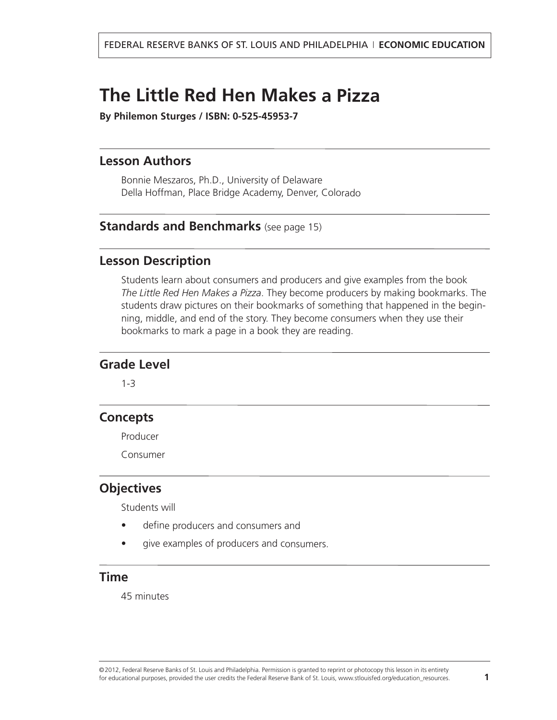### <span id="page-0-0"></span>**The Little Red Hen Makes a Pizza**

**By Philemon Sturges / ISBN: 0-525-45953-7**

#### **Lesson Authors**

Bonnie Meszaros, Ph.D., University of Delaware Della Hoffman, Place Bridge Academy, Denver, Colorado

#### **Standards and [Benchmarks](#page-14-0)** (see page 15)

#### **Lesson Description**

Students learn about consumers and producers and give examples from the book *The Little Red Hen Makes <sup>a</sup> Pizza*. They become producers by making bookmarks. The students draw pictures on their bookmarks of something that happened in the beginning, middle, and end of the story. They become consumers when they use their bookmarks to mark <sup>a</sup> page in <sup>a</sup> book they are reading.

#### **Grade Level**

1-3

#### **Concepts**

Producer

Consumer

#### **Objectives**

Students will

- •define producers and consumers and
- •give examples of producers and consumers.

#### **Time**

45 minutes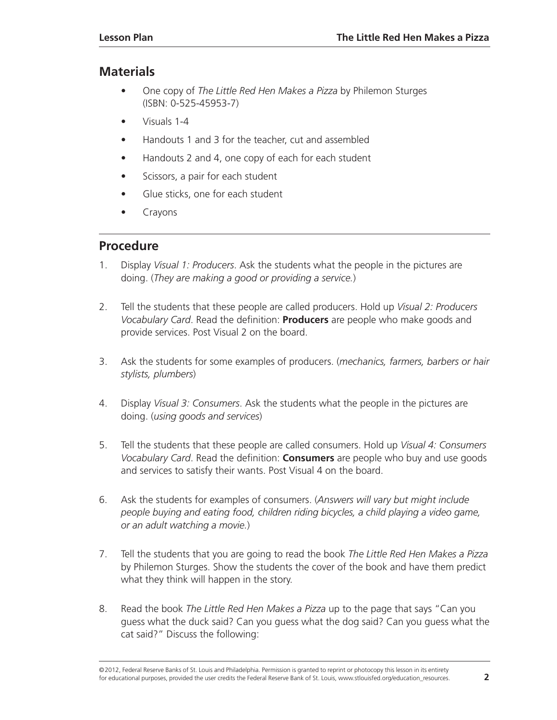#### **Materials**

- One copy of *The Little Red Hen Makes a Pizza* by Philemon Sturges (ISBN: 0-525-45953-7)
- Visuals 1-4
- Handouts 1 and 3 for the teacher, cut and assembled
- Handouts 2 and 4, one copy of each for each student
- Scissors, a pair for each student
- Glue sticks, one for each student
- Crayons

#### **Procedure**

- 1. Display *Visual 1: Producers*. Ask the students what the people in the pictures are doing. (*They are making a good or providing a service.*)
- 2. Tell the students that these people are called producers. Hold up *Visual 2: Producers Vocabulary Card*. Read the definition: **Producers** are people who make goods and provide services. Post Visual 2 on the board.
- 3. Ask the students for some examples of producers. (*mechanics, farmers, barbers or hair stylists, plumbers*)
- 4. Display *Visual 3: Consumers*. Ask the students what the people in the pictures are doing. (*using goods and services*)
- 5. Tell the students that these people are called consumers. Hold up *Visual 4: Consumers Vocabulary Card*. Read the definition: **Consumers** are people who buy and use goods and services to satisfy their wants. Post Visual 4 on the board.
- 6. Ask the students for examples of consumers. (*Answers will vary but might include people buying and eating food, children riding bicycles, a child playing a video game, or an adult watching a movie.*)
- 7. Tell the students that you are going to read the book *The Little Red Hen Makes a Pizza* by Philemon Sturges. Show the students the cover of the book and have them predict what they think will happen in the story.
- 8. Read the book *The Little Red Hen Makes a Pizza* up to the page that says "Can you guess what the duck said? Can you guess what the dog said? Can you guess what the cat said?" Discuss the following:

©2012, Federal Reserve Banks of St. Louis and Philadelphia. Permission is granted to reprint or photocopy this lesson in its entirety for educational purposes, provided the user credits the Federal Reserve Bank of St. Louis, www.stlouisfed.org/education\_resources. **2**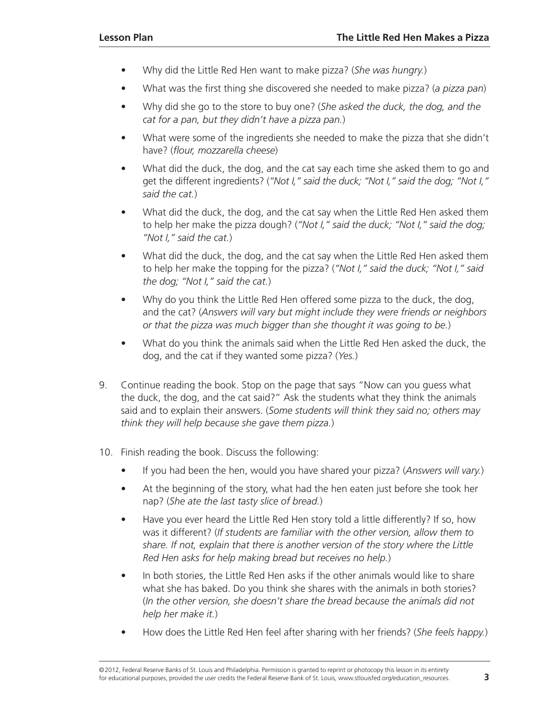- Why did the Little Red Hen want to make pizza? (*She was hungry.*)
- What was the first thing she discovered she needed to make pizza? (*a pizza pan*)
- Why did she go to the store to buy one? (*She asked the duck, the dog, and the cat for a pan, but they didn't have a pizza pan.*)
- What were some of the ingredients she needed to make the pizza that she didn't have? (*flour, mozzarella cheese*)
- What did the duck, the dog, and the cat say each time she asked them to go and get the different ingredients? (*"Not I," said the duck; "Not I," said the dog; "Not I," said the cat.*)
- What did the duck, the dog, and the cat say when the Little Red Hen asked them to help her make the pizza dough? (*"Not I," said the duck; "Not I," said the dog; "Not I," said the cat.*)
- What did the duck, the dog, and the cat say when the Little Red Hen asked them to help her make the topping for the pizza? (*"Not I," said the duck; "Not I," said the dog; "Not I," said the cat.*)
- Why do you think the Little Red Hen offered some pizza to the duck, the dog, and the cat? (*Answers will vary but might include they were friends or neighbors or that the pizza was much bigger than she thought it was going to be.*)
- What do you think the animals said when the Little Red Hen asked the duck, the dog, and the cat if they wanted some pizza? (*Yes.*)
- 9. Continue reading the book. Stop on the page that says "Now can you guess what the duck, the dog, and the cat said?" Ask the students what they think the animals said and to explain their answers. (*Some students will think they said no; others may think they will help because she gave them pizza.*)
- 10. Finish reading the book. Discuss the following:
	- If you had been the hen, would you have shared your pizza? (*Answers will vary.*)
	- At the beginning of the story, what had the hen eaten just before she took her nap? (*She ate the last tasty slice of bread.*)
	- Have you ever heard the Little Red Hen story told a little differently? If so, how was it different? (*If students are familiar with the other version, allow them to share. If not, explain that there is another version of the story where the Little Red Hen asks for help making bread but receives no help.*)
	- In both stories, the Little Red Hen asks if the other animals would like to share what she has baked. Do you think she shares with the animals in both stories? (*In the other version, she doesn't share the bread because the animals did not help her make it.*)
	- How does the Little Red Hen feel after sharing with her friends? (*She feels happy.*)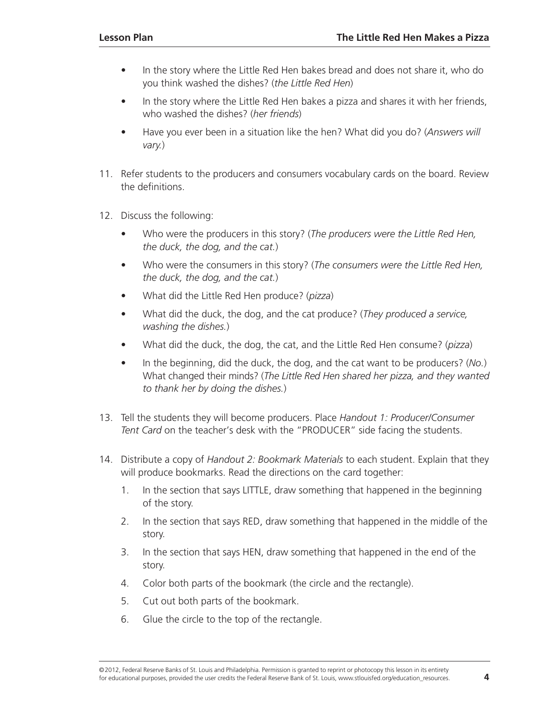- In the story where the Little Red Hen bakes bread and does not share it, who do you think washed the dishes? (*the Little Red Hen*)
- In the story where the Little Red Hen bakes a pizza and shares it with her friends, who washed the dishes? (*her friends*)
- Have you ever been in a situation like the hen? What did you do? (*Answers will vary.*)
- 11. Refer students to the producers and consumers vocabulary cards on the board. Review the definitions.
- 12. Discuss the following:
	- Who were the producers in this story? (*The producers were the Little Red Hen, the duck, the dog, and the cat.*)
	- Who were the consumers in this story? (*The consumers were the Little Red Hen, the duck, the dog, and the cat.*)
	- What did the Little Red Hen produce? (*pizza*)
	- What did the duck, the dog, and the cat produce? (*They produced a service, washing the dishes.*)
	- What did the duck, the dog, the cat, and the Little Red Hen consume? (*pizza*)
	- In the beginning, did the duck, the dog, and the cat want to be producers? (*No.*) What changed their minds? (*The Little Red Hen shared her pizza, and they wanted to thank her by doing the dishes.*)
- 13. Tell the students they will become producers. Place *Handout 1: Producer/Consumer Tent Card* on the teacher's desk with the "PRODUCER" side facing the students.
- 14. Distribute a copy of *Handout 2: Bookmark Materials* to each student. Explain that they will produce bookmarks. Read the directions on the card together:
	- 1. In the section that says LITTLE, draw something that happened in the beginning of the story.
	- 2. In the section that says RED, draw something that happened in the middle of the story.
	- 3. In the section that says HEN, draw something that happened in the end of the story.
	- 4. Color both parts of the bookmark (the circle and the rectangle).
	- 5. Cut out both parts of the bookmark.
	- 6. Glue the circle to the top of the rectangle.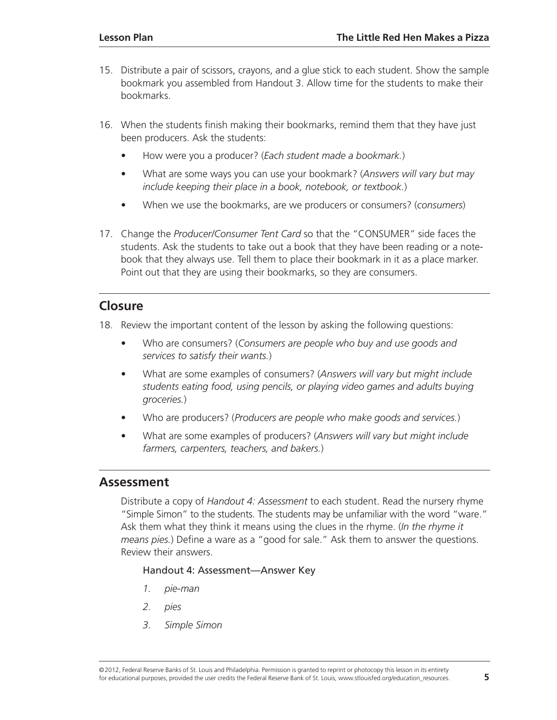- 15. Distribute a pair of scissors, crayons, and a glue stick to each student. Show the sample bookmark you assembled from Handout 3. Allow time for the students to make their bookmarks.
- 16. When the students finish making their bookmarks, remind them that they have just been producers. Ask the students:
	- How were you a producer? (*Each student made a bookmark.*)
	- What are some ways you can use your bookmark? (*Answers will vary but may include keeping their place in a book, notebook, or textbook.*)
	- When we use the bookmarks, are we producers or consumers? (*consumers*)
- 17. Change the *Producer/Consumer Tent Card* so that the "CONSUMER" side faces the students. Ask the students to take out a book that they have been reading or a notebook that they always use. Tell them to place their bookmark in it as a place marker. Point out that they are using their bookmarks, so they are consumers.

#### **Closure**

18. Review the important content of the lesson by asking the following questions:

- Who are consumers? (*Consumers are people who buy and use goods and services to satisfy their wants.*)
- What are some examples of consumers? (*Answers will vary but might include students eating food, using pencils, or playing video games and adults buying groceries.*)
- Who are producers? (*Producers are people who make goods and services.*)
- What are some examples of producers? (*Answers will vary but might include farmers, carpenters, teachers, and bakers.*)

#### **Assessment**

Distribute a copy of *Handout 4: Assessment* to each student. Read the nursery rhyme "Simple Simon" to the students. The students may be unfamiliar with the word "ware." Ask them what they think it means using the clues in the rhyme. (*In the rhyme it means pies.*) Define a ware as a "good for sale." Ask them to answer the questions. Review their answers.

#### Handout 4: Assessment—Answer Key

- *1. pie-man*
- *2. pies*
- *3. Simple Simon*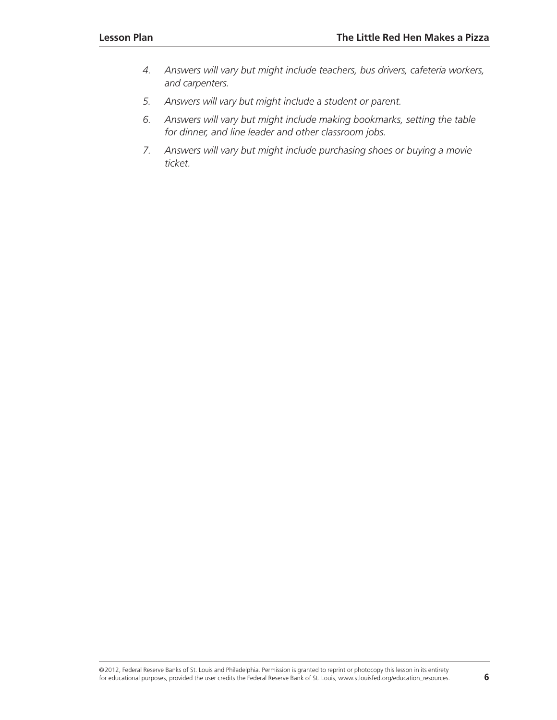- *4. Answers will vary but might include teachers, bus drivers, cafeteria workers, and carpenters.*
- *5. Answers will vary but might include a student or parent.*
- *6. Answers will vary but might include making bookmarks, setting the table for dinner, and line leader and other classroom jobs.*
- *7. Answers will vary but might include purchasing shoes or buying a movie ticket.*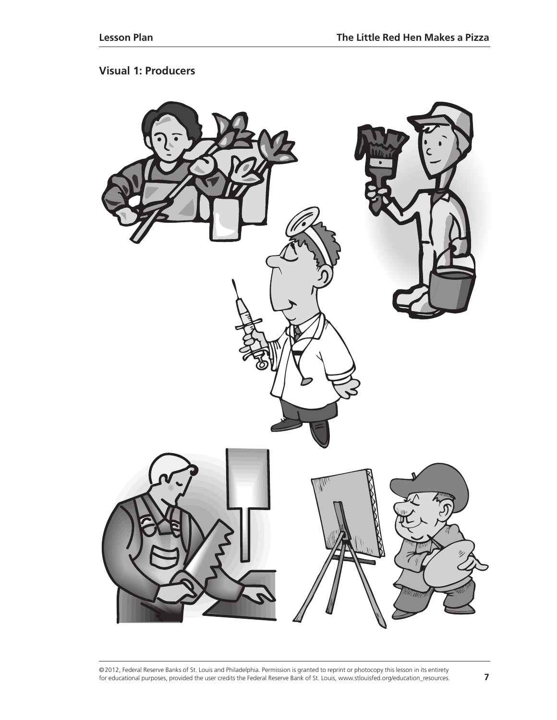#### **Visual 1: Producers**

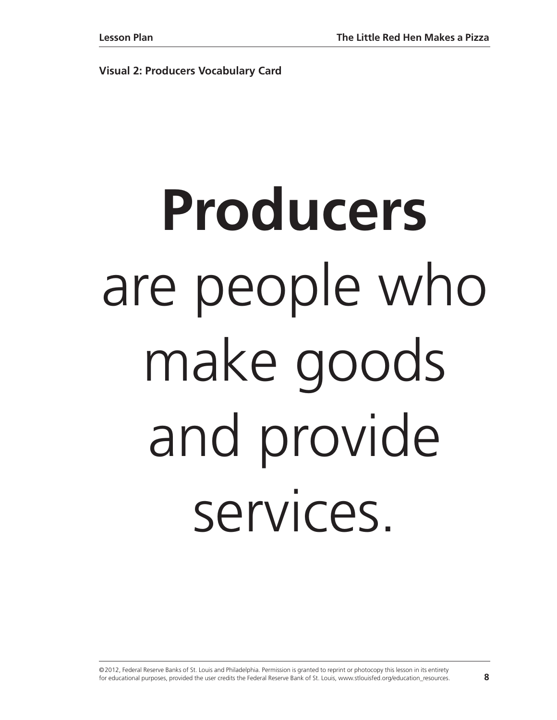**Visual 2: Producers Vocabulary Card**

# **Producers** are people who make goods and provide services.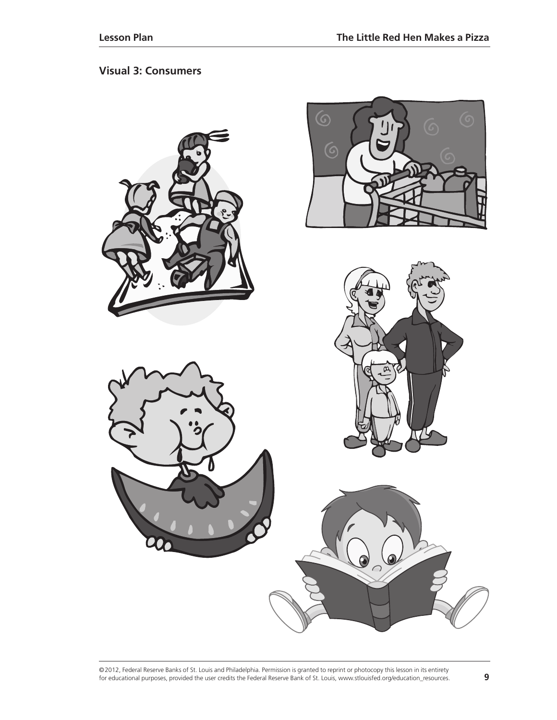#### **Visual 3: Consumers**

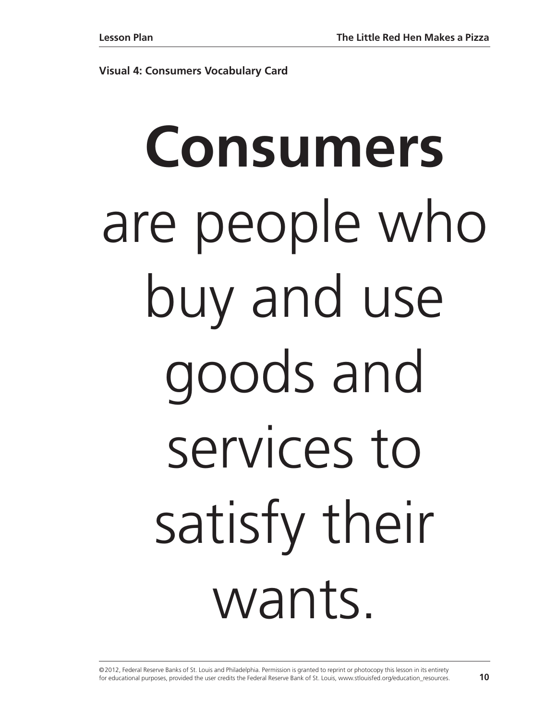**Visual 4: Consumers Vocabulary Card**

# **Consumers** are people who buy and use goods and services to satisfy their wants.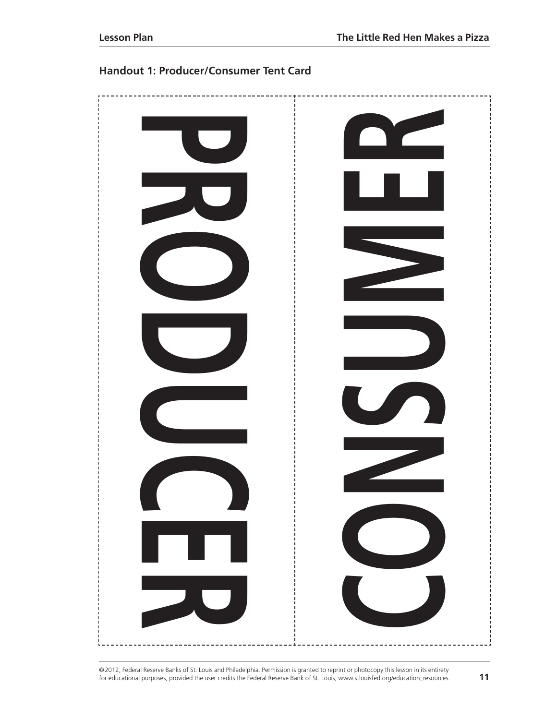



©2012, Federal Reserve Banks of St. Louis and Philadelphia. Permission is granted to reprint or photocopy this lesson in its entirety for educational purposes, provided the user credits the Federal Reserve Bank of St. Louis, www.stlouisfed.org/education\_resources. **11**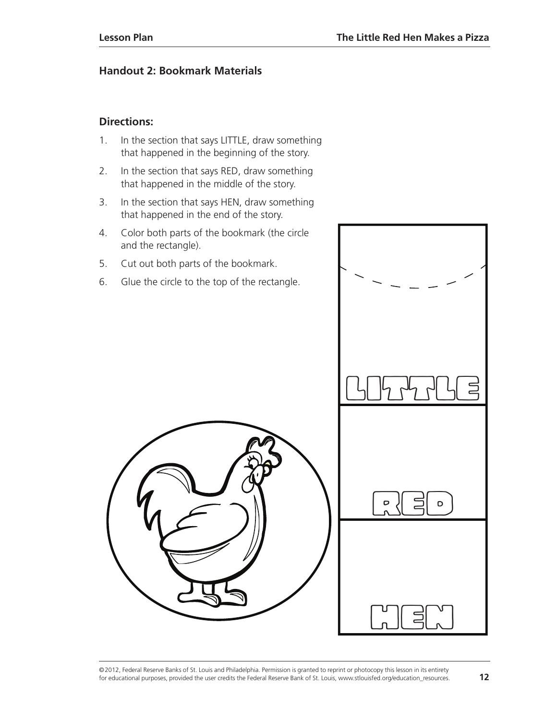#### **Handout 2: Bookmark Materials**

#### **Directions:**

- 1. In the section that says LITTLE, draw something that happened in the beginning of the story.
- 2. In the section that says RED, draw something that happened in the middle of the story.
- 3. In the section that says HEN, draw something that happened in the end of the story.
- 4. Color both parts of the bookmark (the circle and the rectangle).
- 5. Cut out both parts of the bookmark.
- 6. Glue the circle to the top of the rectangle.

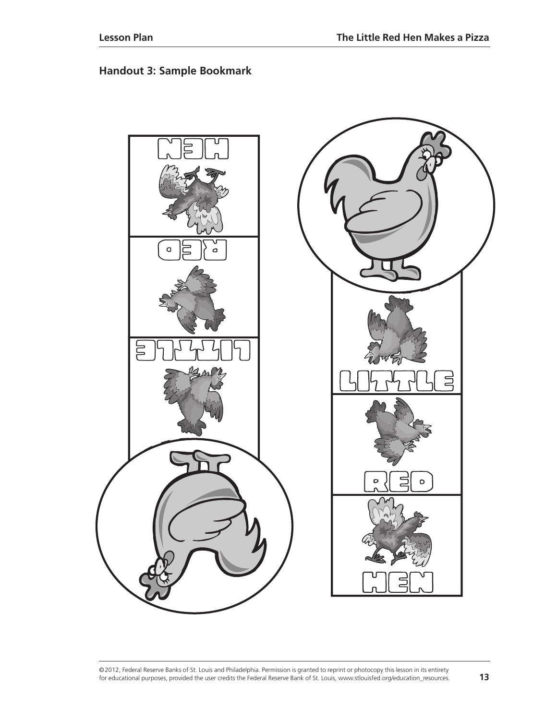#### **Handout 3: Sample Bookmark**

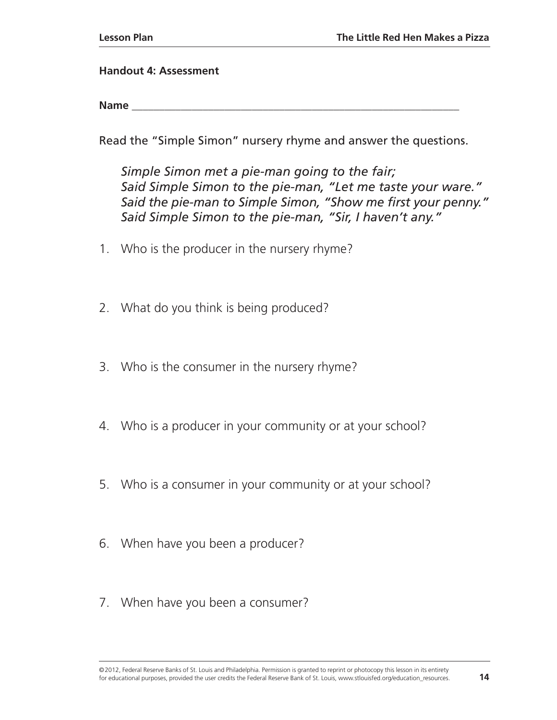#### **Handout 4: Assessment**

**Name \_\_\_\_\_\_\_\_\_\_\_\_\_\_\_\_\_\_\_\_\_\_\_\_\_\_\_\_\_\_\_\_\_\_\_\_\_\_\_\_\_\_\_\_\_\_\_\_\_\_\_\_\_\_\_\_\_\_\_\_**

Read the "Simple Simon" nursery rhyme and answer the questions.

*Simple Simon met a pie-man going to the fair; Said Simple Simon to the pie-man, "Let me taste your ware." Said the pie-man to Simple Simon, "Show me first your penny." Said Simple Simon to the pie-man, "Sir, I haven't any."*

- 1. Who is the producer in the nursery rhyme?
- 2. What do you think is being produced?
- 3. Who is the consumer in the nursery rhyme?
- 4. Who is a producer in your community or at your school?
- 5. Who is a consumer in your community or at your school?
- 6. When have you been a producer?
- 7. When have you been a consumer?